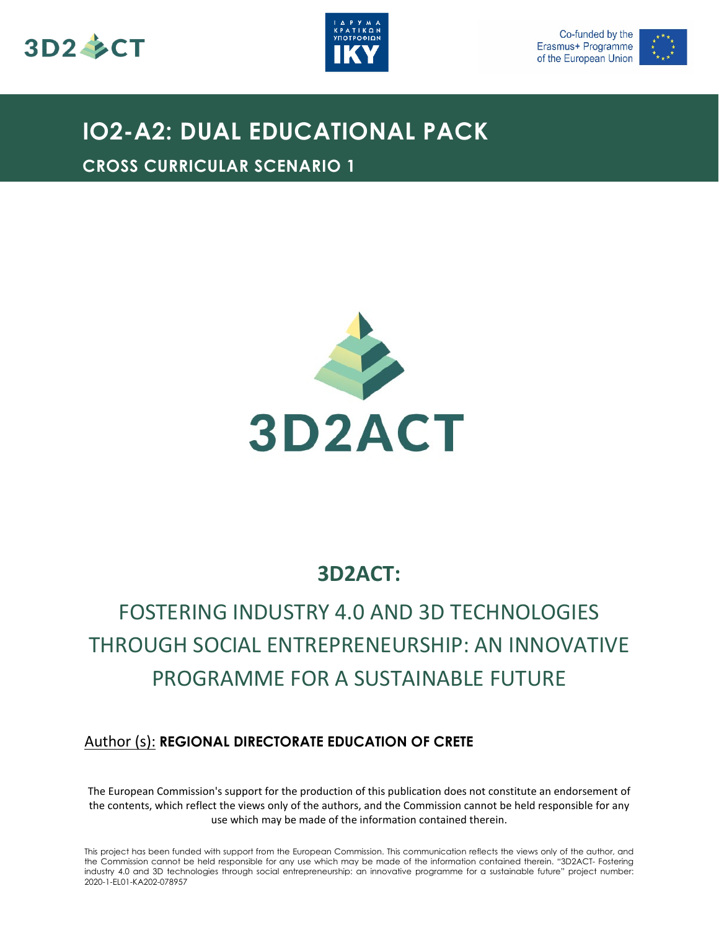





# **IO2-A2: DUAL EDUCATIONAL PACK**

**CROSS CURRICULAR SCENARIO 1**



# **3D2ACT:**

# FOSTERING INDUSTRY 4.0 AND 3D TECHNOLOGIES THROUGH SOCIAL ENTREPRENEURSHIP: AN INNOVATIVE PROGRAMME FOR A SUSTAINABLE FUTURE

# Author (s): **REGIONAL DIRECTORATE EDUCATION OF CRETE**

The European Commission's support for the production of this publication does not constitute an endorsement of the contents, which reflect the views only of the authors, and the Commission cannot be held responsible for any use which may be made of the information contained therein.

This project has been funded with support from the European Commission. This communication reflects the views only of the author, and the Commission cannot be held responsible for any use which may be made of the information contained therein. "3D2ACT- Fostering industry 4.0 and 3D technologies through social entrepreneurship: an innovative programme for a sustainable future" project number: 2020-1-EL01-KA202-078957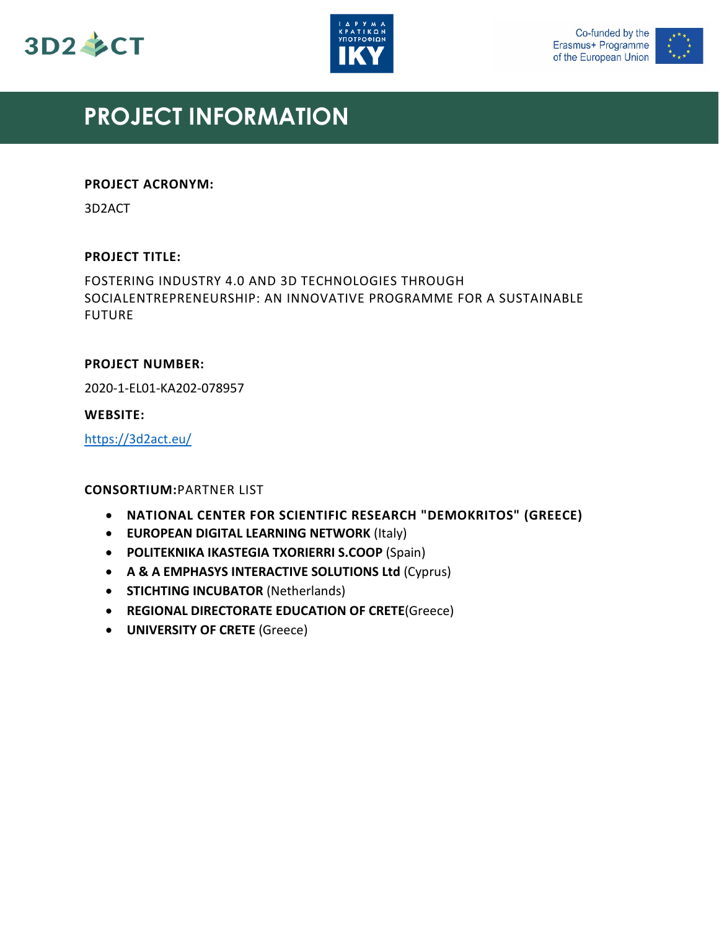





# **PROJECT INFORMATION**

#### **PROJECT ACRONYM:**

3D2ACT

#### **PROJECT TITLE:**

FOSTERING INDUSTRY 4.0 AND 3D TECHNOLOGIES THROUGH SOCIALENTREPRENEURSHIP: AN INNOVATIVE PROGRAMME FOR A SUSTAINABLE FUTURE

#### **PROJECT NUMBER:**

2020-1-EL01-KA202-078957

#### **WEBSITE:**

<https://3d2act.eu/>

# **CONSORTIUM:**PARTNER LIST

- **NATIONAL CENTER FOR SCIENTIFIC RESEARCH "DEMOKRITOS" (GREECE)**
- **EUROPEAN DIGITAL LEARNING NETWORK** (Italy)
- **POLITEKNIKA IKASTEGIA TXORIERRI S.COOP** (Spain)
- **A & A EMPHASYS INTERACTIVE SOLUTIONS Ltd** (Cyprus)
- **STICHTING INCUBATOR** (Netherlands)
- **REGIONAL DIRECTORATE EDUCATION OF CRETE**(Greece)
- **UNIVERSITY OF CRETE** (Greece)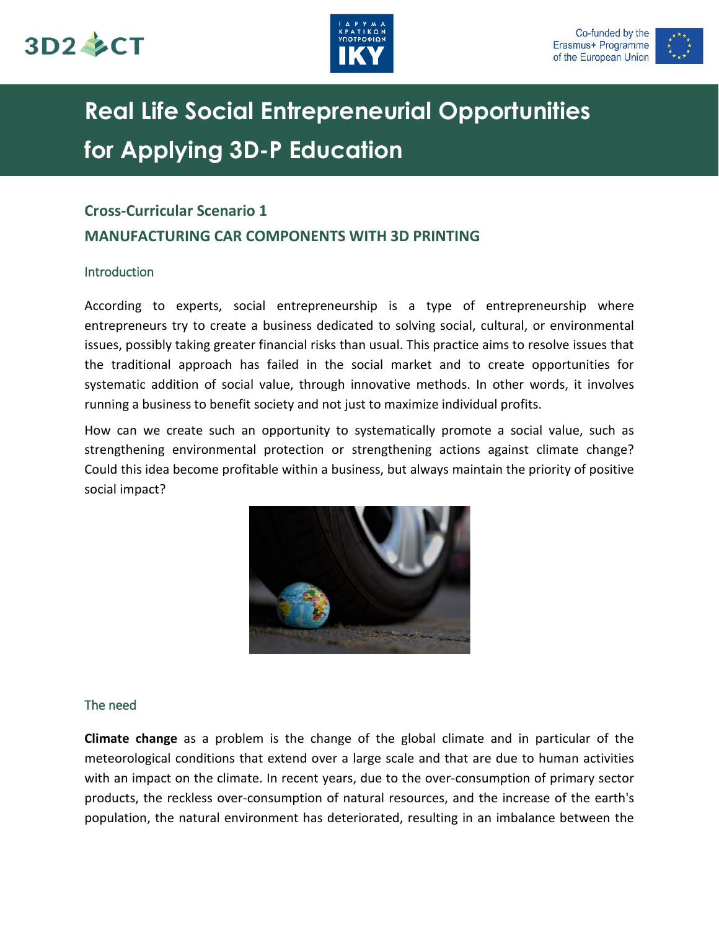





# **Real Life Social Entrepreneurial Opportunities for Applying 3D-P Education**

# **Cross-Curricular Scenario 1**

# **MANUFACTURING CAR COMPONENTS WITH 3D PRINTING**

# Introduction

According to experts, social entrepreneurship is a type of entrepreneurship where entrepreneurs try to create a business dedicated to solving social, cultural, or environmental issues, possibly taking greater financial risks than usual. This practice aims to resolve issues that the traditional approach has failed in the social market and to create opportunities for systematic addition of social value, through innovative methods. In other words, it involves running a business to benefit society and not just to maximize individual profits.

How can we create such an opportunity to systematically promote a social value, such as strengthening environmental protection or strengthening actions against climate change? Could this idea become profitable within a business, but always maintain the priority of positive social impact?



# The need

**Climate change** as a problem is the change of the global climate and in particular of the meteorological conditions that extend over a large scale and that are due to human activities with an impact on the climate. In recent years, due to the over-consumption of primary sector products, the reckless over-consumption of natural resources, and the increase of the earth's population, the natural environment has deteriorated, resulting in an imbalance between the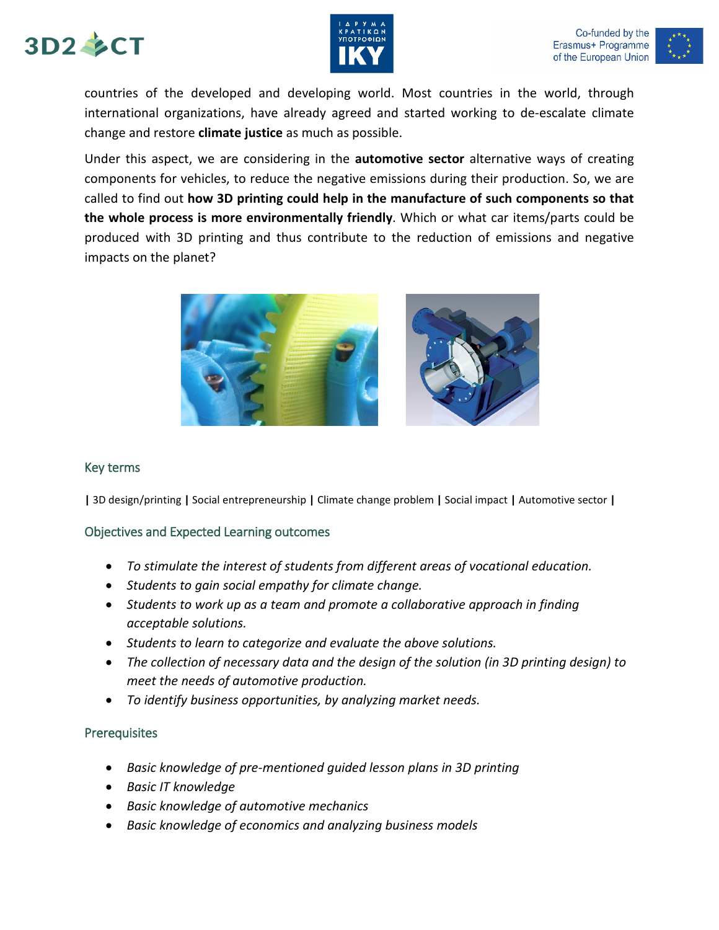





countries of the developed and developing world. Most countries in the world, through international organizations, have already agreed and started working to de-escalate climate change and restore **climate justice** as much as possible.

Under this aspect, we are considering in the **automotive sector** alternative ways of creating components for vehicles, to reduce the negative emissions during their production. So, we are called to find out **how 3D printing could help in the manufacture of such components so that the whole process is more environmentally friendly**. Which or what car items/parts could be produced with 3D printing and thus contribute to the reduction of emissions and negative impacts on the planet?



#### Key terms

**|** 3D design/printing **|** Social entrepreneurship **|** Climate change problem **|** Social impact **|** Automotive sector **|**

# Objectives and Expected Learning outcomes

- *To stimulate the interest of students from different areas of vocational education.*
- *Students to gain social empathy for climate change.*
- *Students to work up as a team and promote a collaborative approach in finding acceptable solutions.*
- *Students to learn to categorize and evaluate the above solutions.*
- *The collection of necessary data and the design of the solution (in 3D printing design) to meet the needs of automotive production.*
- *To identify business opportunities, by analyzing market needs.*

# **Prerequisites**

- *Basic knowledge of pre-mentioned guided lesson plans in 3D printing*
- *Basic IT knowledge*
- *Basic knowledge of automotive mechanics*
- *Basic knowledge of economics and analyzing business models*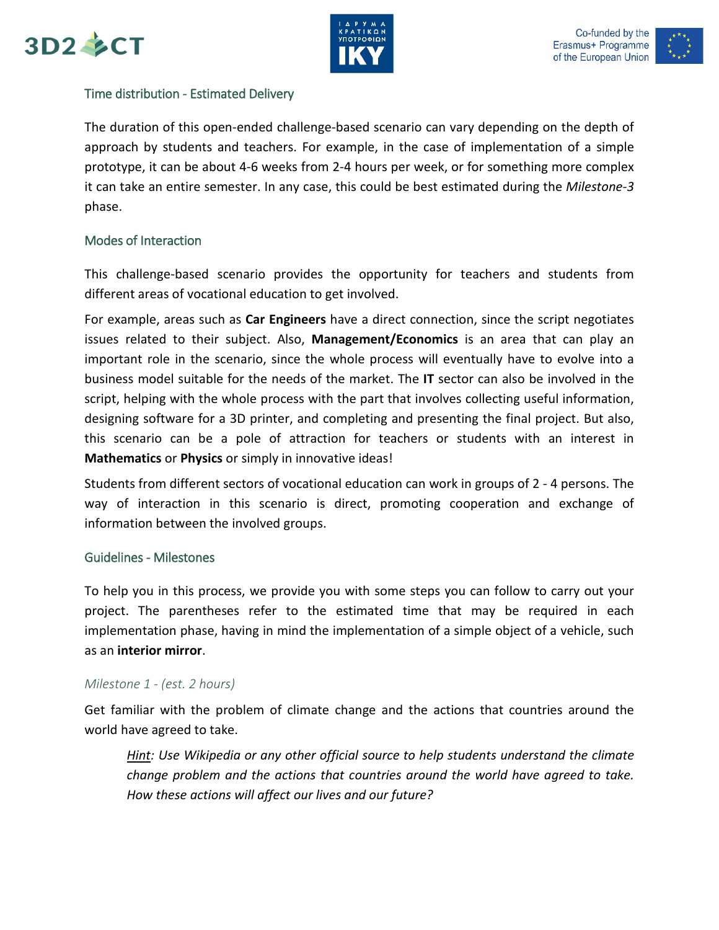





### Time distribution - Estimated Delivery

The duration of this open-ended challenge-based scenario can vary depending on the depth of approach by students and teachers. For example, in the case of implementation of a simple prototype, it can be about 4-6 weeks from 2-4 hours per week, or for something more complex it can take an entire semester. In any case, this could be best estimated during the *Milestone-3* phase.

#### Modes of Interaction

This challenge-based scenario provides the opportunity for teachers and students from different areas of vocational education to get involved.

For example, areas such as **Car Engineers** have a direct connection, since the script negotiates issues related to their subject. Also, **Management/Economics** is an area that can play an important role in the scenario, since the whole process will eventually have to evolve into a business model suitable for the needs of the market. The **IT** sector can also be involved in the script, helping with the whole process with the part that involves collecting useful information, designing software for a 3D printer, and completing and presenting the final project. But also, this scenario can be a pole of attraction for teachers or students with an interest in **Mathematics** or **Physics** or simply in innovative ideas!

Students from different sectors of vocational education can work in groups of 2 - 4 persons. The way of interaction in this scenario is direct, promoting cooperation and exchange of information between the involved groups.

#### Guidelines - Milestones

To help you in this process, we provide you with some steps you can follow to carry out your project. The parentheses refer to the estimated time that may be required in each implementation phase, having in mind the implementation of a simple object of a vehicle, such as an **interior mirror**.

#### *Milestone 1 - (est. 2 hours)*

Get familiar with the problem of climate change and the actions that countries around the world have agreed to take.

*Hint: Use Wikipedia or any other official source to help students understand the climate change problem and the actions that countries around the world have agreed to take. How these actions will affect our lives and our future?*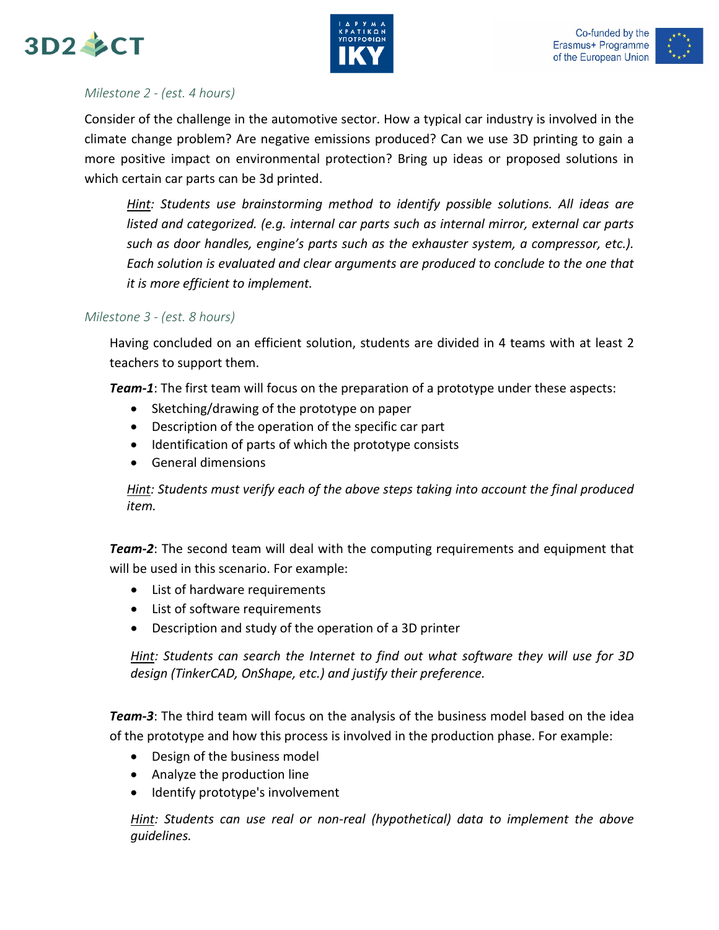





# *Milestone 2 - (est. 4 hours)*

Consider of the challenge in the automotive sector. How a typical car industry is involved in the climate change problem? Are negative emissions produced? Can we use 3D printing to gain a more positive impact on environmental protection? Bring up ideas or proposed solutions in which certain car parts can be 3d printed.

*Hint: Students use brainstorming method to identify possible solutions. All ideas are listed and categorized. (e.g. internal car parts such as internal mirror, external car parts such as door handles, engine's parts such as the exhauster system, a compressor, etc.). Each solution is evaluated and clear arguments are produced to conclude to the one that it is more efficient to implement.*

# *Milestone 3 - (est. 8 hours)*

Having concluded on an efficient solution, students are divided in 4 teams with at least 2 teachers to support them.

*Team-1*: The first team will focus on the preparation of a prototype under these aspects:

- Sketching/drawing of the prototype on paper
- Description of the operation of the specific car part
- Identification of parts of which the prototype consists
- General dimensions

*Hint: Students must verify each of the above steps taking into account the final produced item.*

*Team-2*: The second team will deal with the computing requirements and equipment that will be used in this scenario. For example:

- List of hardware requirements
- List of software requirements
- Description and study of the operation of a 3D printer

*Hint: Students can search the Internet to find out what software they will use for 3D design (TinkerCAD, OnShape, etc.) and justify their preference.* 

*Team-3*: The third team will focus on the analysis of the business model based on the idea of the prototype and how this process is involved in the production phase. For example:

- Design of the business model
- Analyze the production line
- Identify prototype's involvement

*Hint: Students can use real or non-real (hypothetical) data to implement the above guidelines.*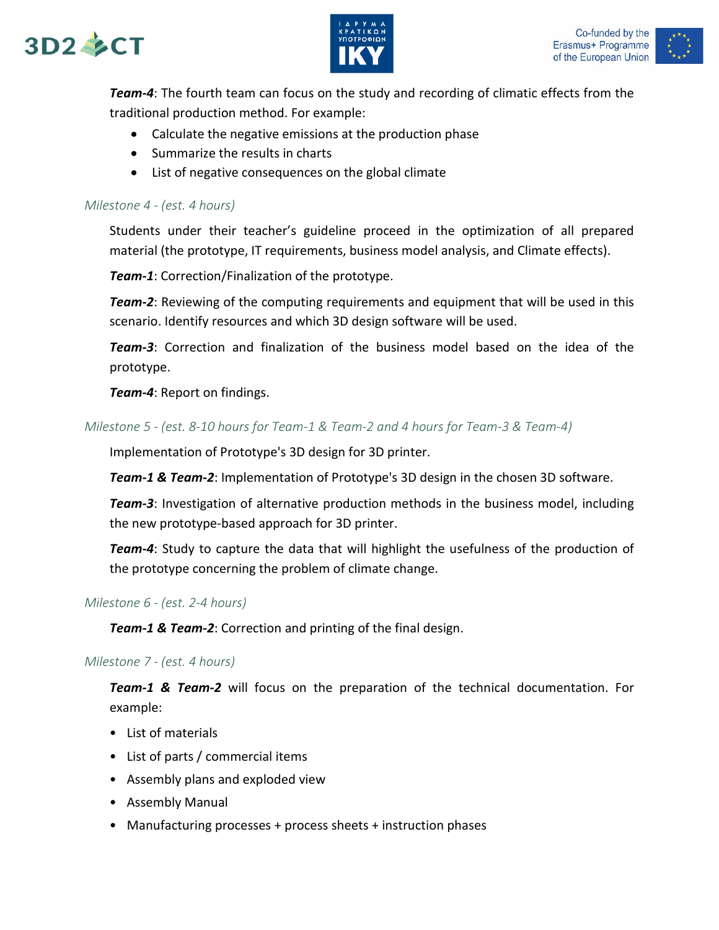





*Team-4*: The fourth team can focus on the study and recording of climatic effects from the traditional production method. For example:

- Calculate the negative emissions at the production phase
- Summarize the results in charts
- List of negative consequences on the global climate

#### *Milestone 4 - (est. 4 hours)*

Students under their teacher's guideline proceed in the optimization of all prepared material (the prototype, IT requirements, business model analysis, and Climate effects).

*Team-1*: Correction/Finalization of the prototype.

*Team-2*: Reviewing of the computing requirements and equipment that will be used in this scenario. Identify resources and which 3D design software will be used.

*Team-3*: Correction and finalization of the business model based on the idea of the prototype.

*Team-4*: Report on findings.

#### *Milestone 5 - (est. 8-10 hours for Team-1 & Team-2 and 4 hours for Team-3 & Team-4)*

Implementation of Prototype's 3D design for 3D printer.

*Team-1 & Team-2*: Implementation of Prototype's 3D design in the chosen 3D software.

*Team-3*: Investigation of alternative production methods in the business model, including the new prototype-based approach for 3D printer.

*Team-4*: Study to capture the data that will highlight the usefulness of the production of the prototype concerning the problem of climate change.

#### *Milestone 6 - (est. 2-4 hours)*

*Team-1 & Team-2*: Correction and printing of the final design.

#### *Milestone 7 - (est. 4 hours)*

*Team-1 & Team-2* will focus on the preparation of the technical documentation. For example:

- List of materials
- List of parts / commercial items
- Assembly plans and exploded view
- Assembly Manual
- Manufacturing processes + process sheets + instruction phases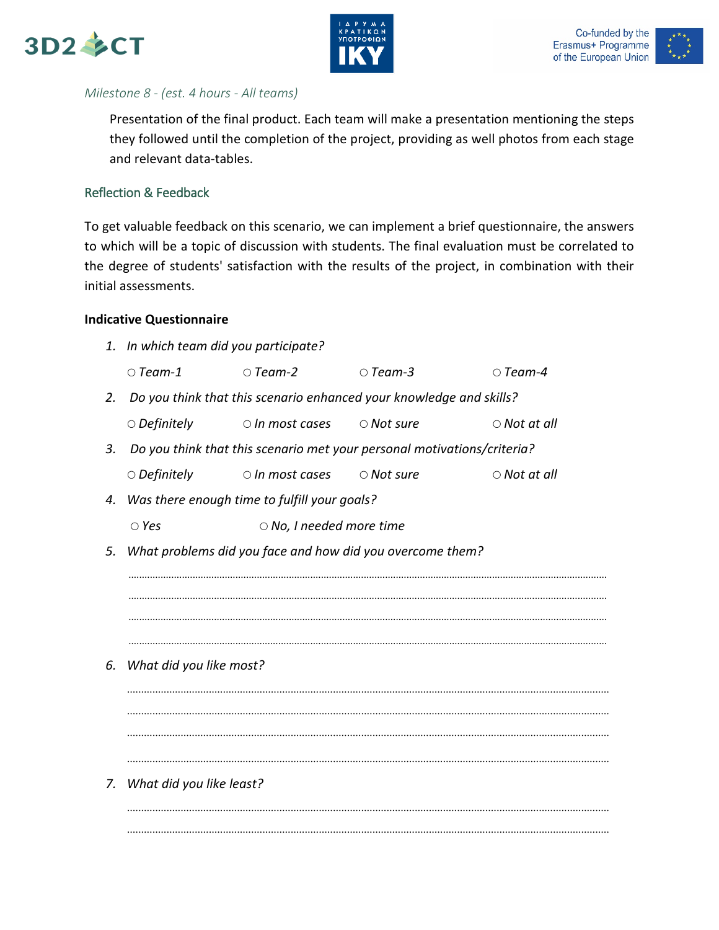





# *Milestone 8 - (est. 4 hours - All teams)*

Presentation of the final product. Each team will make a presentation mentioning the steps they followed until the completion of the project, providing as well photos from each stage and relevant data-tables.

# Reflection & Feedback

To get valuable feedback on this scenario, we can implement a brief questionnaire, the answers to which will be a topic of discussion with students. The final evaluation must be correlated to the degree of students' satisfaction with the results of the project, in combination with their initial assessments.

#### **Indicative Questionnaire**

*1. In which team did you participate? Team-1 Team-2 Team-3 Team-4 2. Do you think that this scenario enhanced your knowledge and skills? Definitely In most cases Not sure Not at all 3. Do you think that this scenario met your personal motivations/criteria? Definitely In most cases Not sure Not at all 4. Was there enough time to fulfill your goals? Yes No, I needed more time 5. What problems did you face and how did you overcome them?* ................................................................................................................................................................................... ................................................................................................................................................................................... ................................................................................................................................................................................... ................................................................................................................................................................................... *6. What did you like most?* ........................................................................................................................................................................... ........................................................................................................................................................................... ........................................................................................................................................................................... ........................................................................................................................................................................... *7. What did you like least?* ........................................................................................................................................................................... ...........................................................................................................................................................................